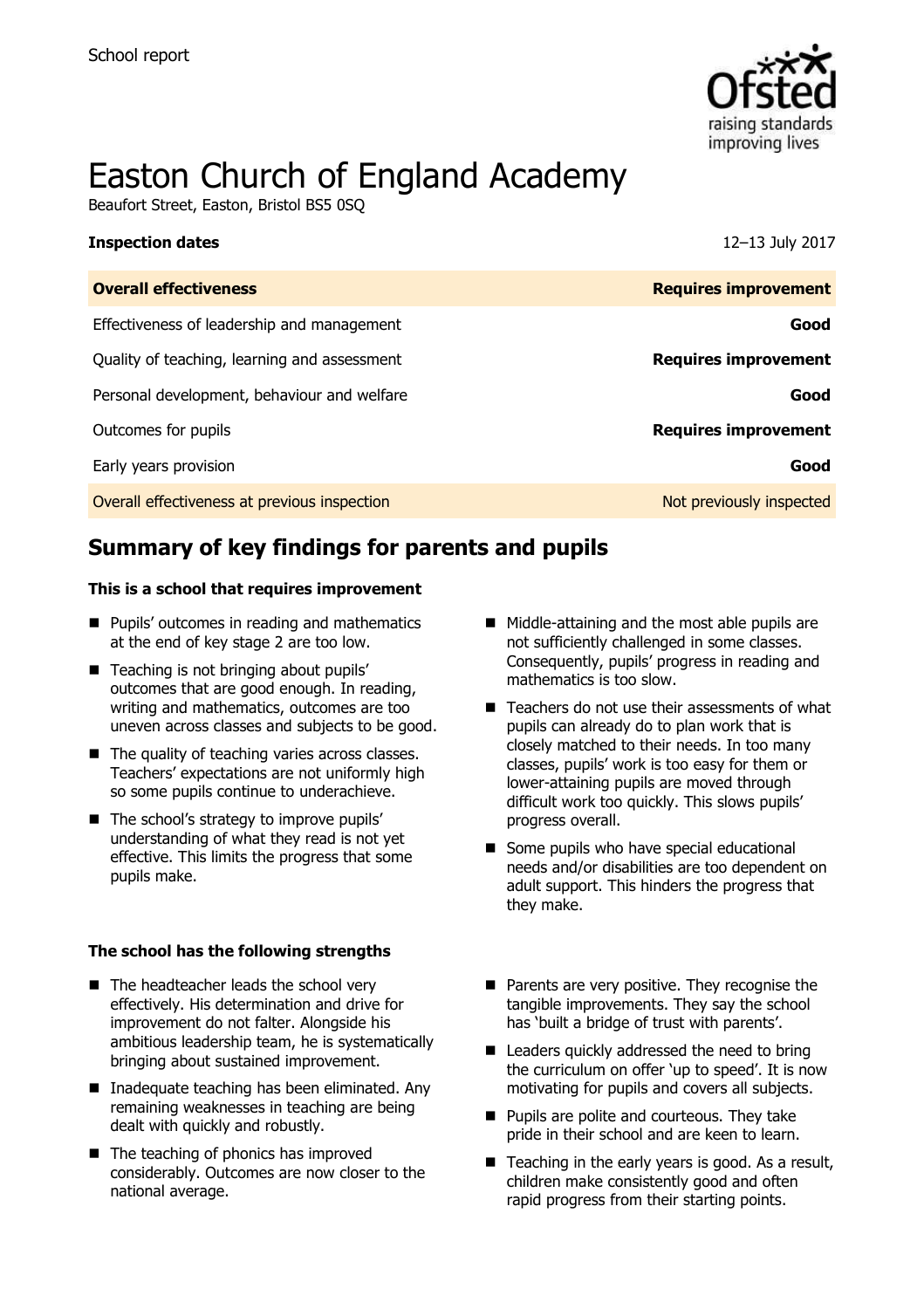

# Easton Church of England Academy

Beaufort Street, Easton, Bristol BS5 0SQ

#### **Inspection dates** 12–13 July 2017

| <b>Overall effectiveness</b>                 | <b>Requires improvement</b> |
|----------------------------------------------|-----------------------------|
| Effectiveness of leadership and management   | Good                        |
| Quality of teaching, learning and assessment | <b>Requires improvement</b> |
| Personal development, behaviour and welfare  | Good                        |
| Outcomes for pupils                          | <b>Requires improvement</b> |
| Early years provision                        | Good                        |
| Overall effectiveness at previous inspection | Not previously inspected    |

# **Summary of key findings for parents and pupils**

#### **This is a school that requires improvement**

- **Pupils' outcomes in reading and mathematics** at the end of key stage 2 are too low.
- Teaching is not bringing about pupils' outcomes that are good enough. In reading, writing and mathematics, outcomes are too uneven across classes and subjects to be good.
- The quality of teaching varies across classes. Teachers' expectations are not uniformly high so some pupils continue to underachieve.
- The school's strategy to improve pupils' understanding of what they read is not yet effective. This limits the progress that some pupils make.

#### **The school has the following strengths**

- The headteacher leads the school very effectively. His determination and drive for improvement do not falter. Alongside his ambitious leadership team, he is systematically bringing about sustained improvement.
- Inadequate teaching has been eliminated. Any remaining weaknesses in teaching are being dealt with quickly and robustly.
- The teaching of phonics has improved considerably. Outcomes are now closer to the national average.
- Middle-attaining and the most able pupils are not sufficiently challenged in some classes. Consequently, pupils' progress in reading and mathematics is too slow.
- $\blacksquare$  Teachers do not use their assessments of what pupils can already do to plan work that is closely matched to their needs. In too many classes, pupils' work is too easy for them or lower-attaining pupils are moved through difficult work too quickly. This slows pupils' progress overall.
- Some pupils who have special educational needs and/or disabilities are too dependent on adult support. This hinders the progress that they make.
- **Parents are very positive. They recognise the** tangible improvements. They say the school has 'built a bridge of trust with parents'.
- Leaders quickly addressed the need to bring the curriculum on offer 'up to speed'. It is now motivating for pupils and covers all subjects.
- **Pupils are polite and courteous. They take** pride in their school and are keen to learn.
- $\blacksquare$  Teaching in the early years is good. As a result, children make consistently good and often rapid progress from their starting points.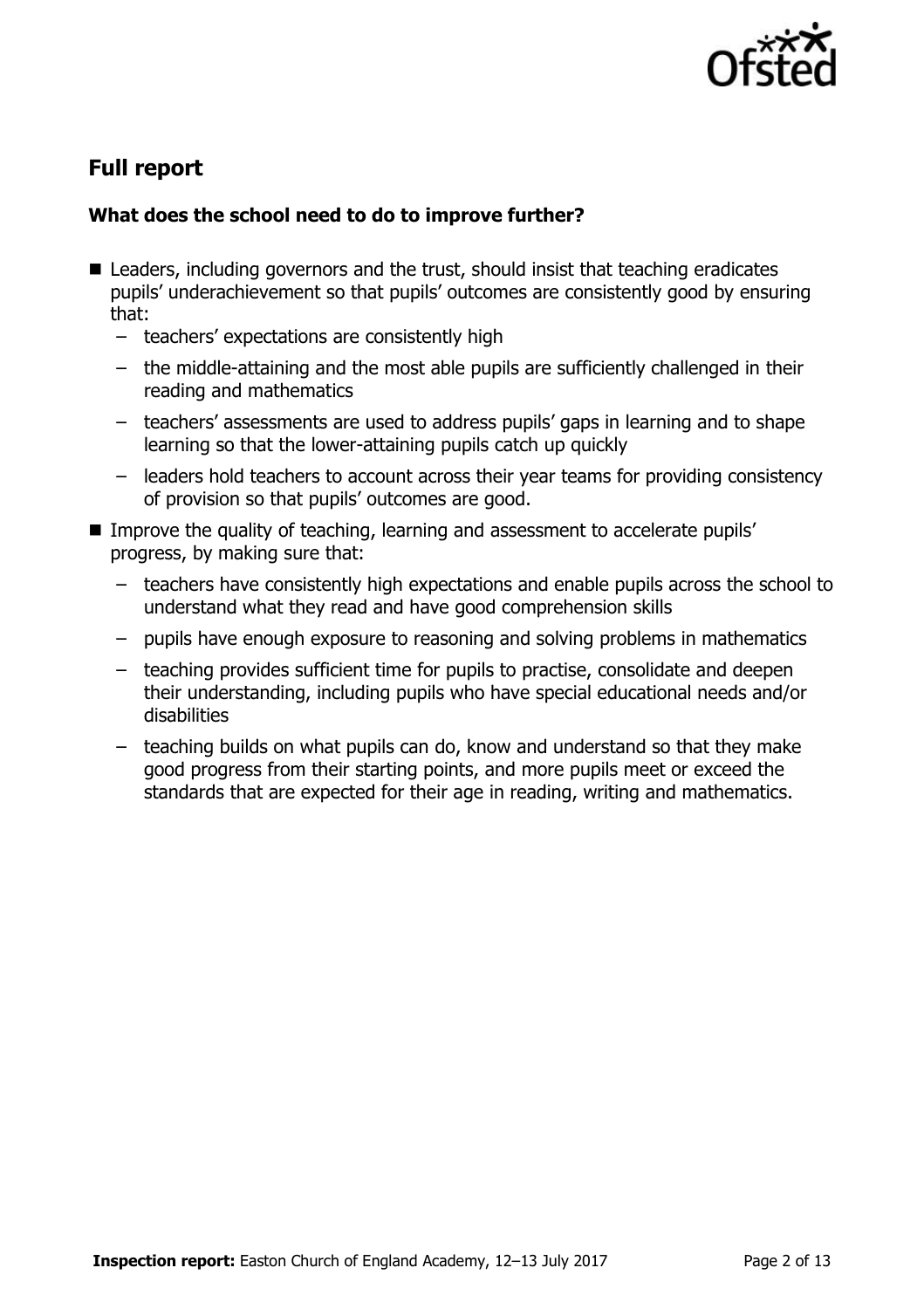

# **Full report**

### **What does the school need to do to improve further?**

- Leaders, including governors and the trust, should insist that teaching eradicates pupils' underachievement so that pupils' outcomes are consistently good by ensuring that:
	- teachers' expectations are consistently high
	- the middle-attaining and the most able pupils are sufficiently challenged in their reading and mathematics
	- teachers' assessments are used to address pupils' gaps in learning and to shape learning so that the lower-attaining pupils catch up quickly
	- leaders hold teachers to account across their year teams for providing consistency of provision so that pupils' outcomes are good.
- Improve the quality of teaching, learning and assessment to accelerate pupils' progress, by making sure that:
	- teachers have consistently high expectations and enable pupils across the school to understand what they read and have good comprehension skills
	- pupils have enough exposure to reasoning and solving problems in mathematics
	- teaching provides sufficient time for pupils to practise, consolidate and deepen their understanding, including pupils who have special educational needs and/or disabilities
	- teaching builds on what pupils can do, know and understand so that they make good progress from their starting points, and more pupils meet or exceed the standards that are expected for their age in reading, writing and mathematics.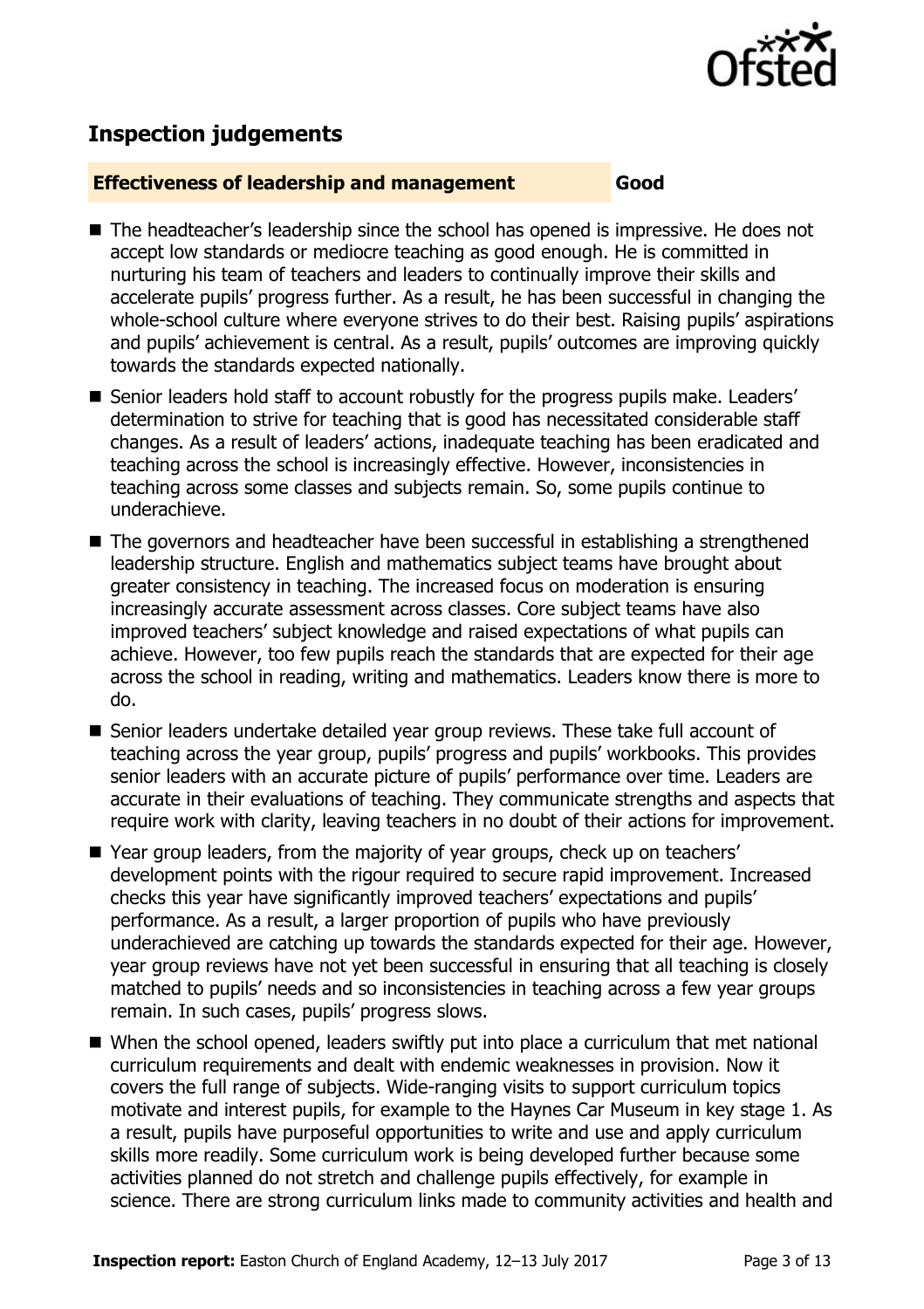

# **Inspection judgements**

#### **Effectiveness of leadership and management Good**

- The headteacher's leadership since the school has opened is impressive. He does not accept low standards or mediocre teaching as good enough. He is committed in nurturing his team of teachers and leaders to continually improve their skills and accelerate pupils' progress further. As a result, he has been successful in changing the whole-school culture where everyone strives to do their best. Raising pupils' aspirations and pupils' achievement is central. As a result, pupils' outcomes are improving quickly towards the standards expected nationally.
- Senior leaders hold staff to account robustly for the progress pupils make. Leaders' determination to strive for teaching that is good has necessitated considerable staff changes. As a result of leaders' actions, inadequate teaching has been eradicated and teaching across the school is increasingly effective. However, inconsistencies in teaching across some classes and subjects remain. So, some pupils continue to underachieve.
- The governors and headteacher have been successful in establishing a strengthened leadership structure. English and mathematics subject teams have brought about greater consistency in teaching. The increased focus on moderation is ensuring increasingly accurate assessment across classes. Core subject teams have also improved teachers' subject knowledge and raised expectations of what pupils can achieve. However, too few pupils reach the standards that are expected for their age across the school in reading, writing and mathematics. Leaders know there is more to do.
- Senior leaders undertake detailed year group reviews. These take full account of teaching across the year group, pupils' progress and pupils' workbooks. This provides senior leaders with an accurate picture of pupils' performance over time. Leaders are accurate in their evaluations of teaching. They communicate strengths and aspects that require work with clarity, leaving teachers in no doubt of their actions for improvement.
- Year group leaders, from the majority of year groups, check up on teachers' development points with the rigour required to secure rapid improvement. Increased checks this year have significantly improved teachers' expectations and pupils' performance. As a result, a larger proportion of pupils who have previously underachieved are catching up towards the standards expected for their age. However, year group reviews have not yet been successful in ensuring that all teaching is closely matched to pupils' needs and so inconsistencies in teaching across a few year groups remain. In such cases, pupils' progress slows.
- When the school opened, leaders swiftly put into place a curriculum that met national curriculum requirements and dealt with endemic weaknesses in provision. Now it covers the full range of subjects. Wide-ranging visits to support curriculum topics motivate and interest pupils, for example to the Haynes Car Museum in key stage 1. As a result, pupils have purposeful opportunities to write and use and apply curriculum skills more readily. Some curriculum work is being developed further because some activities planned do not stretch and challenge pupils effectively, for example in science. There are strong curriculum links made to community activities and health and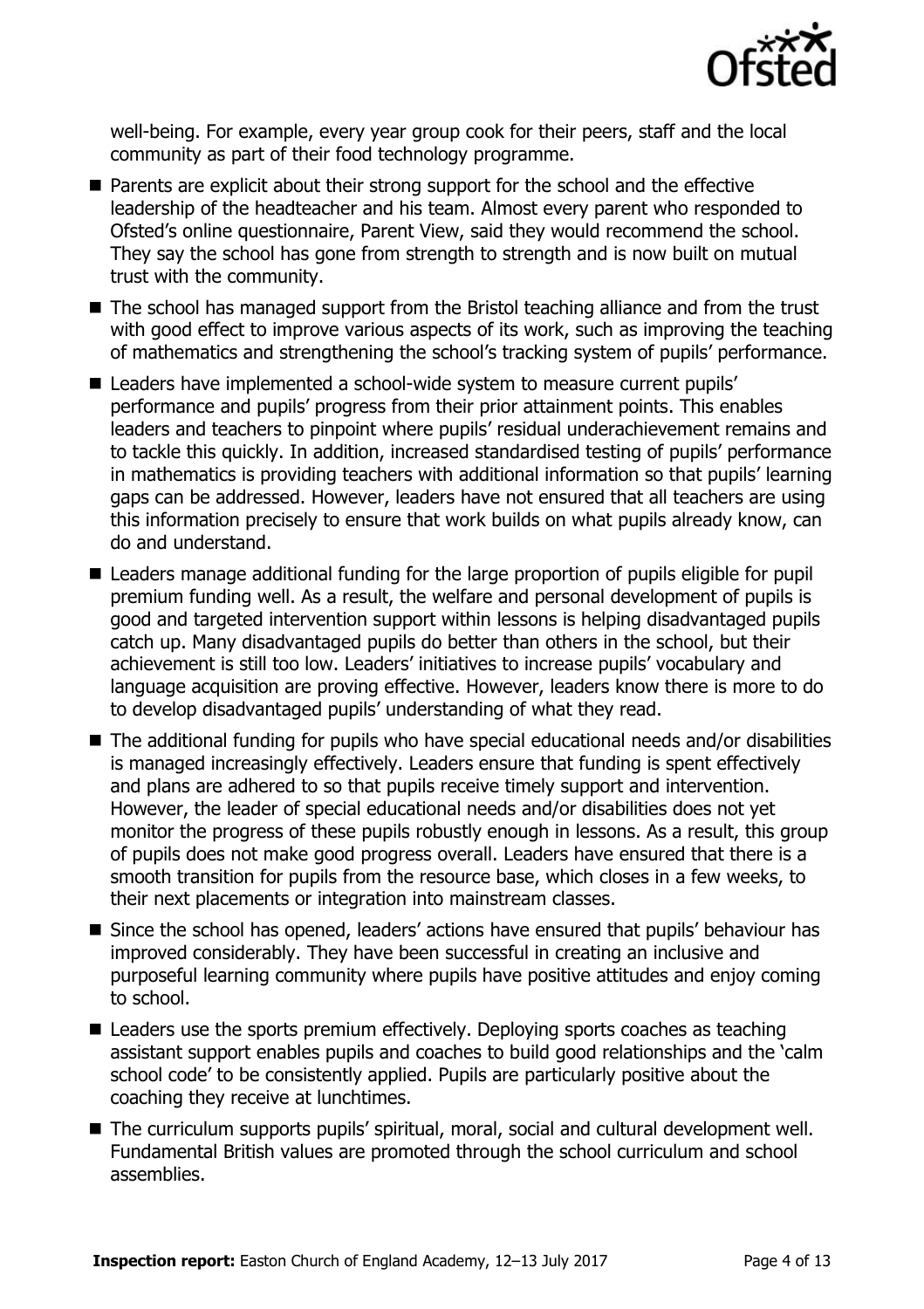

well-being. For example, every year group cook for their peers, staff and the local community as part of their food technology programme.

- Parents are explicit about their strong support for the school and the effective leadership of the headteacher and his team. Almost every parent who responded to Ofsted's online questionnaire, Parent View, said they would recommend the school. They say the school has gone from strength to strength and is now built on mutual trust with the community.
- The school has managed support from the Bristol teaching alliance and from the trust with good effect to improve various aspects of its work, such as improving the teaching of mathematics and strengthening the school's tracking system of pupils' performance.
- Leaders have implemented a school-wide system to measure current pupils' performance and pupils' progress from their prior attainment points. This enables leaders and teachers to pinpoint where pupils' residual underachievement remains and to tackle this quickly. In addition, increased standardised testing of pupils' performance in mathematics is providing teachers with additional information so that pupils' learning gaps can be addressed. However, leaders have not ensured that all teachers are using this information precisely to ensure that work builds on what pupils already know, can do and understand.
- Leaders manage additional funding for the large proportion of pupils eligible for pupil premium funding well. As a result, the welfare and personal development of pupils is good and targeted intervention support within lessons is helping disadvantaged pupils catch up. Many disadvantaged pupils do better than others in the school, but their achievement is still too low. Leaders' initiatives to increase pupils' vocabulary and language acquisition are proving effective. However, leaders know there is more to do to develop disadvantaged pupils' understanding of what they read.
- The additional funding for pupils who have special educational needs and/or disabilities is managed increasingly effectively. Leaders ensure that funding is spent effectively and plans are adhered to so that pupils receive timely support and intervention. However, the leader of special educational needs and/or disabilities does not yet monitor the progress of these pupils robustly enough in lessons. As a result, this group of pupils does not make good progress overall. Leaders have ensured that there is a smooth transition for pupils from the resource base, which closes in a few weeks, to their next placements or integration into mainstream classes.
- Since the school has opened, leaders' actions have ensured that pupils' behaviour has improved considerably. They have been successful in creating an inclusive and purposeful learning community where pupils have positive attitudes and enjoy coming to school.
- Leaders use the sports premium effectively. Deploying sports coaches as teaching assistant support enables pupils and coaches to build good relationships and the 'calm school code' to be consistently applied. Pupils are particularly positive about the coaching they receive at lunchtimes.
- The curriculum supports pupils' spiritual, moral, social and cultural development well. Fundamental British values are promoted through the school curriculum and school assemblies.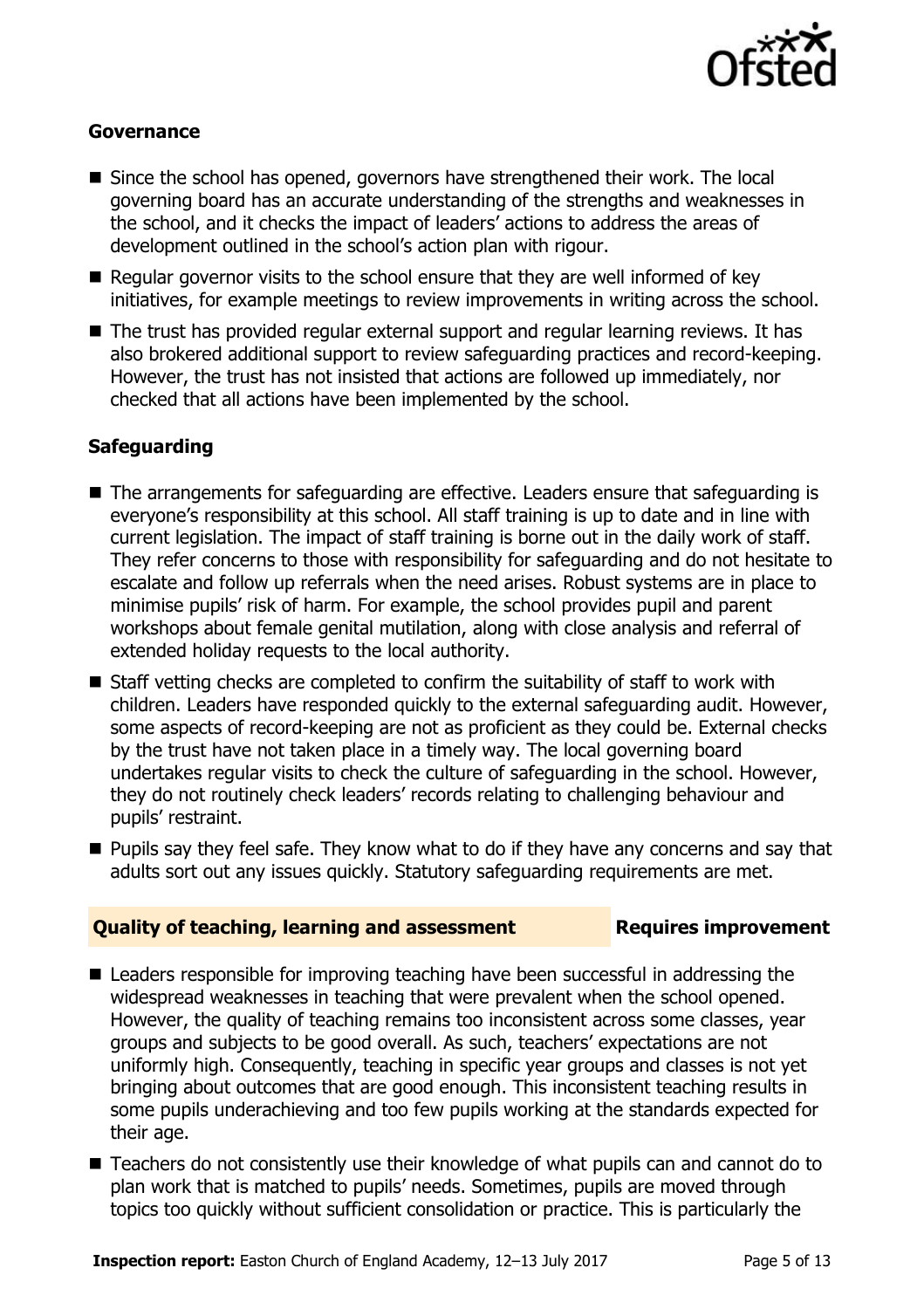

#### **Governance**

- Since the school has opened, governors have strengthened their work. The local governing board has an accurate understanding of the strengths and weaknesses in the school, and it checks the impact of leaders' actions to address the areas of development outlined in the school's action plan with rigour.
- Regular governor visits to the school ensure that they are well informed of key initiatives, for example meetings to review improvements in writing across the school.
- The trust has provided regular external support and regular learning reviews. It has also brokered additional support to review safeguarding practices and record-keeping. However, the trust has not insisted that actions are followed up immediately, nor checked that all actions have been implemented by the school.

#### **Safeguarding**

- The arrangements for safeguarding are effective. Leaders ensure that safeguarding is everyone's responsibility at this school. All staff training is up to date and in line with current legislation. The impact of staff training is borne out in the daily work of staff. They refer concerns to those with responsibility for safeguarding and do not hesitate to escalate and follow up referrals when the need arises. Robust systems are in place to minimise pupils' risk of harm. For example, the school provides pupil and parent workshops about female genital mutilation, along with close analysis and referral of extended holiday requests to the local authority.
- $\blacksquare$  Staff vetting checks are completed to confirm the suitability of staff to work with children. Leaders have responded quickly to the external safeguarding audit. However, some aspects of record-keeping are not as proficient as they could be. External checks by the trust have not taken place in a timely way. The local governing board undertakes regular visits to check the culture of safeguarding in the school. However, they do not routinely check leaders' records relating to challenging behaviour and pupils' restraint.
- **Pupils say they feel safe. They know what to do if they have any concerns and say that** adults sort out any issues quickly. Statutory safeguarding requirements are met.

#### **Quality of teaching, learning and assessment Requires improvement**

- Leaders responsible for improving teaching have been successful in addressing the widespread weaknesses in teaching that were prevalent when the school opened. However, the quality of teaching remains too inconsistent across some classes, year groups and subjects to be good overall. As such, teachers' expectations are not uniformly high. Consequently, teaching in specific year groups and classes is not yet bringing about outcomes that are good enough. This inconsistent teaching results in some pupils underachieving and too few pupils working at the standards expected for their age.
- Teachers do not consistently use their knowledge of what pupils can and cannot do to plan work that is matched to pupils' needs. Sometimes, pupils are moved through topics too quickly without sufficient consolidation or practice. This is particularly the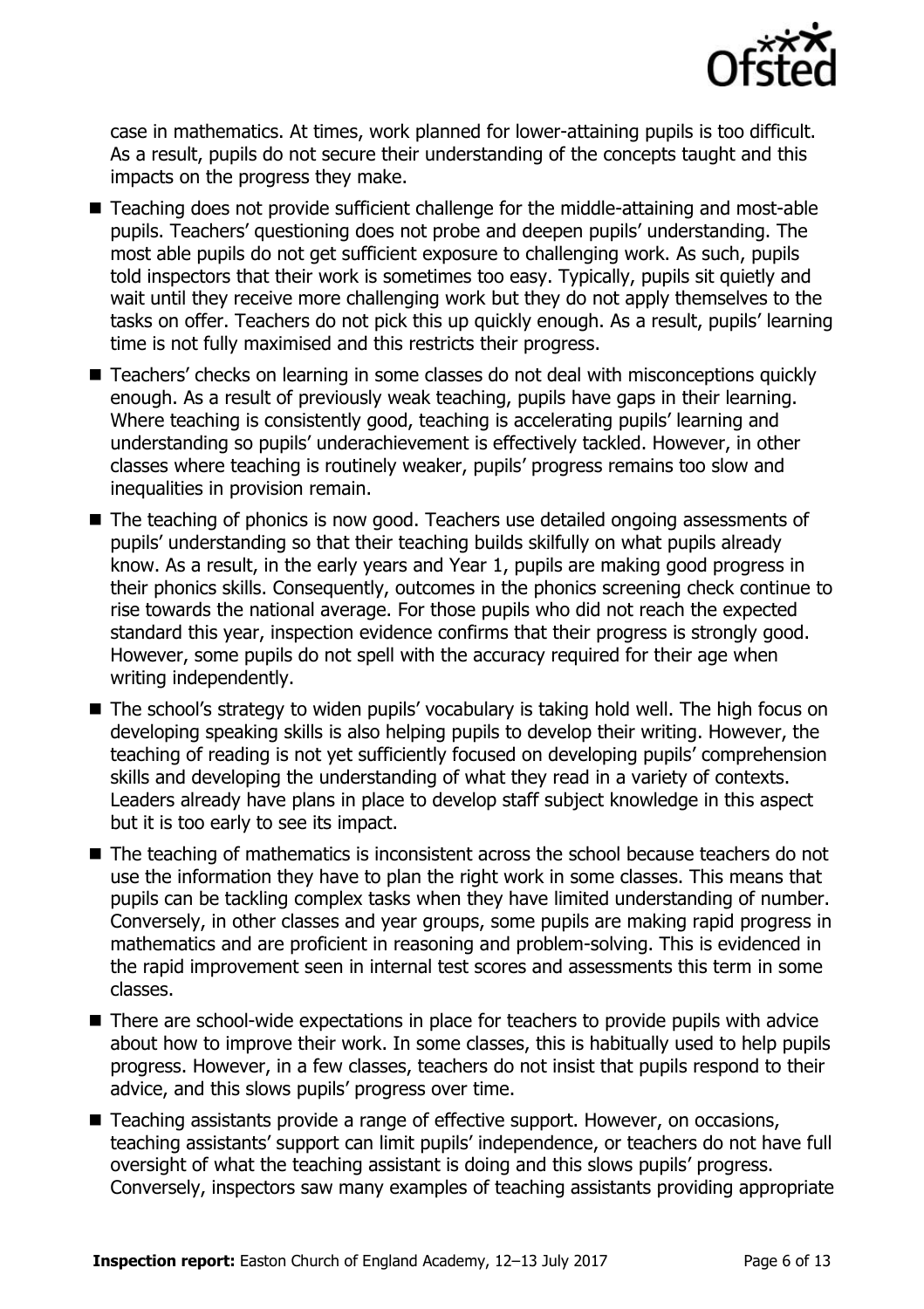

case in mathematics. At times, work planned for lower-attaining pupils is too difficult. As a result, pupils do not secure their understanding of the concepts taught and this impacts on the progress they make.

- Teaching does not provide sufficient challenge for the middle-attaining and most-able pupils. Teachers' questioning does not probe and deepen pupils' understanding. The most able pupils do not get sufficient exposure to challenging work. As such, pupils told inspectors that their work is sometimes too easy. Typically, pupils sit quietly and wait until they receive more challenging work but they do not apply themselves to the tasks on offer. Teachers do not pick this up quickly enough. As a result, pupils' learning time is not fully maximised and this restricts their progress.
- Teachers' checks on learning in some classes do not deal with misconceptions quickly enough. As a result of previously weak teaching, pupils have gaps in their learning. Where teaching is consistently good, teaching is accelerating pupils' learning and understanding so pupils' underachievement is effectively tackled. However, in other classes where teaching is routinely weaker, pupils' progress remains too slow and inequalities in provision remain.
- The teaching of phonics is now good. Teachers use detailed ongoing assessments of pupils' understanding so that their teaching builds skilfully on what pupils already know. As a result, in the early years and Year 1, pupils are making good progress in their phonics skills. Consequently, outcomes in the phonics screening check continue to rise towards the national average. For those pupils who did not reach the expected standard this year, inspection evidence confirms that their progress is strongly good. However, some pupils do not spell with the accuracy required for their age when writing independently.
- The school's strategy to widen pupils' vocabulary is taking hold well. The high focus on developing speaking skills is also helping pupils to develop their writing. However, the teaching of reading is not yet sufficiently focused on developing pupils' comprehension skills and developing the understanding of what they read in a variety of contexts. Leaders already have plans in place to develop staff subject knowledge in this aspect but it is too early to see its impact.
- The teaching of mathematics is inconsistent across the school because teachers do not use the information they have to plan the right work in some classes. This means that pupils can be tackling complex tasks when they have limited understanding of number. Conversely, in other classes and year groups, some pupils are making rapid progress in mathematics and are proficient in reasoning and problem-solving. This is evidenced in the rapid improvement seen in internal test scores and assessments this term in some classes.
- There are school-wide expectations in place for teachers to provide pupils with advice about how to improve their work. In some classes, this is habitually used to help pupils progress. However, in a few classes, teachers do not insist that pupils respond to their advice, and this slows pupils' progress over time.
- Teaching assistants provide a range of effective support. However, on occasions, teaching assistants' support can limit pupils' independence, or teachers do not have full oversight of what the teaching assistant is doing and this slows pupils' progress. Conversely, inspectors saw many examples of teaching assistants providing appropriate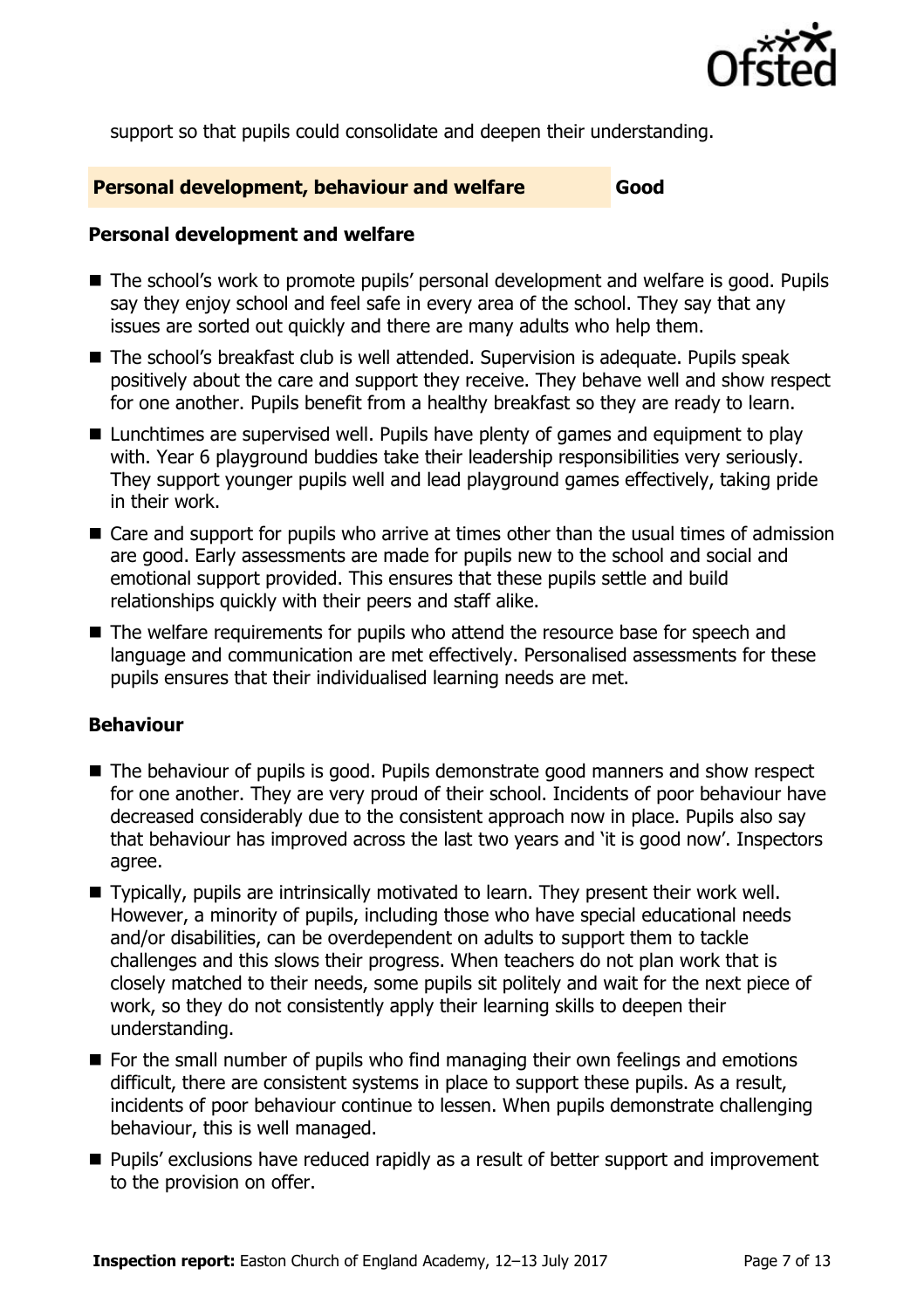

support so that pupils could consolidate and deepen their understanding.

#### **Personal development, behaviour and welfare Good**

#### **Personal development and welfare**

- The school's work to promote pupils' personal development and welfare is good. Pupils say they enjoy school and feel safe in every area of the school. They say that any issues are sorted out quickly and there are many adults who help them.
- The school's breakfast club is well attended. Supervision is adequate. Pupils speak positively about the care and support they receive. They behave well and show respect for one another. Pupils benefit from a healthy breakfast so they are ready to learn.
- Lunchtimes are supervised well. Pupils have plenty of games and equipment to play with. Year 6 playground buddies take their leadership responsibilities very seriously. They support younger pupils well and lead playground games effectively, taking pride in their work.
- Care and support for pupils who arrive at times other than the usual times of admission are good. Early assessments are made for pupils new to the school and social and emotional support provided. This ensures that these pupils settle and build relationships quickly with their peers and staff alike.
- The welfare requirements for pupils who attend the resource base for speech and language and communication are met effectively. Personalised assessments for these pupils ensures that their individualised learning needs are met.

### **Behaviour**

- The behaviour of pupils is good. Pupils demonstrate good manners and show respect for one another. They are very proud of their school. Incidents of poor behaviour have decreased considerably due to the consistent approach now in place. Pupils also say that behaviour has improved across the last two years and 'it is good now'. Inspectors agree.
- Typically, pupils are intrinsically motivated to learn. They present their work well. However, a minority of pupils, including those who have special educational needs and/or disabilities, can be overdependent on adults to support them to tackle challenges and this slows their progress. When teachers do not plan work that is closely matched to their needs, some pupils sit politely and wait for the next piece of work, so they do not consistently apply their learning skills to deepen their understanding.
- For the small number of pupils who find managing their own feelings and emotions difficult, there are consistent systems in place to support these pupils. As a result, incidents of poor behaviour continue to lessen. When pupils demonstrate challenging behaviour, this is well managed.
- **Pupils'** exclusions have reduced rapidly as a result of better support and improvement to the provision on offer.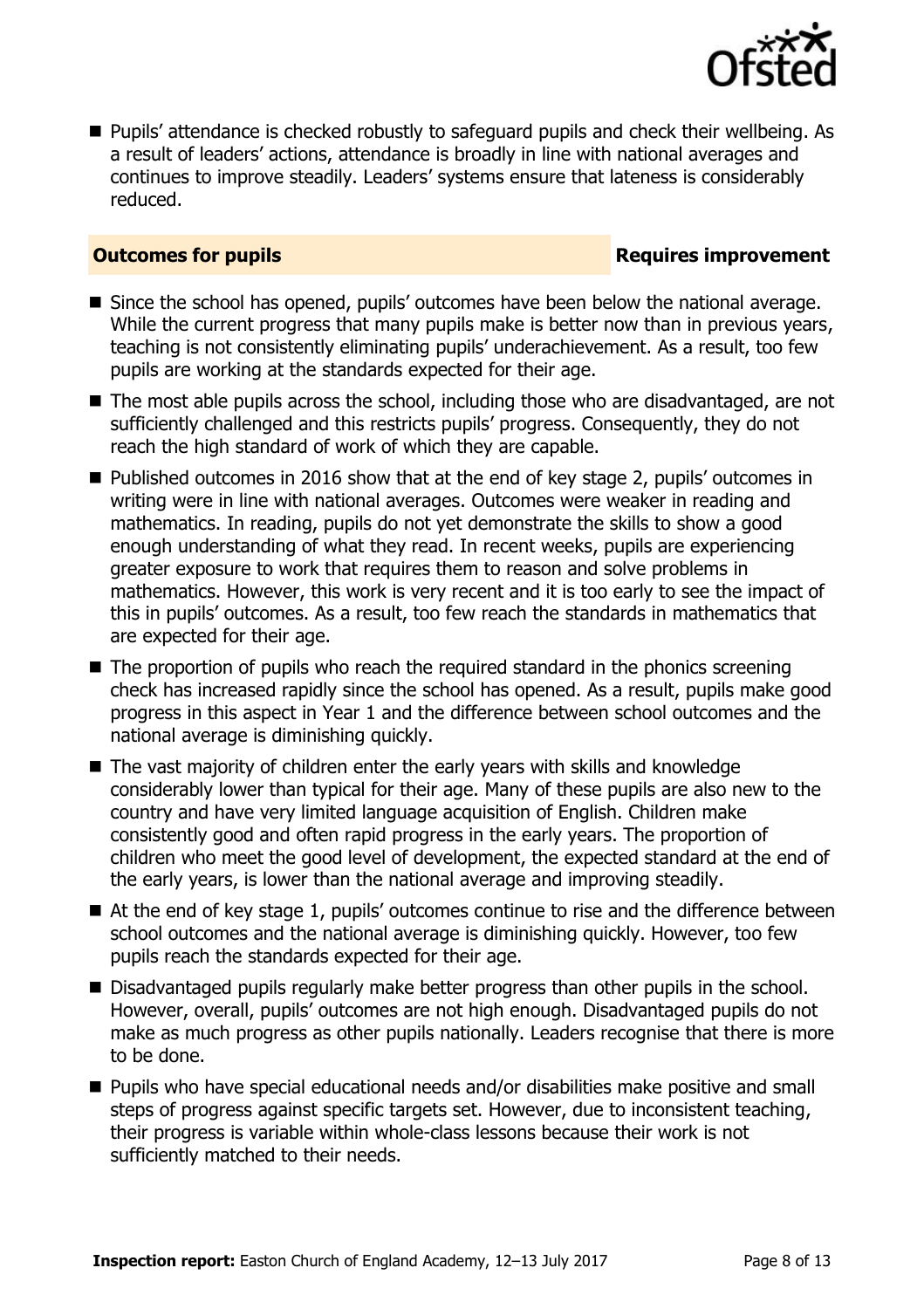

**Pupils' attendance is checked robustly to safeguard pupils and check their wellbeing. As** a result of leaders' actions, attendance is broadly in line with national averages and continues to improve steadily. Leaders' systems ensure that lateness is considerably reduced.

### **Outcomes for pupils Requires improvement**

- Since the school has opened, pupils' outcomes have been below the national average. While the current progress that many pupils make is better now than in previous years, teaching is not consistently eliminating pupils' underachievement. As a result, too few pupils are working at the standards expected for their age.
- The most able pupils across the school, including those who are disadvantaged, are not sufficiently challenged and this restricts pupils' progress. Consequently, they do not reach the high standard of work of which they are capable.
- Published outcomes in 2016 show that at the end of key stage 2, pupils' outcomes in writing were in line with national averages. Outcomes were weaker in reading and mathematics. In reading, pupils do not yet demonstrate the skills to show a good enough understanding of what they read. In recent weeks, pupils are experiencing greater exposure to work that requires them to reason and solve problems in mathematics. However, this work is very recent and it is too early to see the impact of this in pupils' outcomes. As a result, too few reach the standards in mathematics that are expected for their age.
- The proportion of pupils who reach the required standard in the phonics screening check has increased rapidly since the school has opened. As a result, pupils make good progress in this aspect in Year 1 and the difference between school outcomes and the national average is diminishing quickly.
- The vast majority of children enter the early years with skills and knowledge considerably lower than typical for their age. Many of these pupils are also new to the country and have very limited language acquisition of English. Children make consistently good and often rapid progress in the early years. The proportion of children who meet the good level of development, the expected standard at the end of the early years, is lower than the national average and improving steadily.
- At the end of key stage 1, pupils' outcomes continue to rise and the difference between school outcomes and the national average is diminishing quickly. However, too few pupils reach the standards expected for their age.
- Disadvantaged pupils regularly make better progress than other pupils in the school. However, overall, pupils' outcomes are not high enough. Disadvantaged pupils do not make as much progress as other pupils nationally. Leaders recognise that there is more to be done.
- Pupils who have special educational needs and/or disabilities make positive and small steps of progress against specific targets set. However, due to inconsistent teaching, their progress is variable within whole-class lessons because their work is not sufficiently matched to their needs.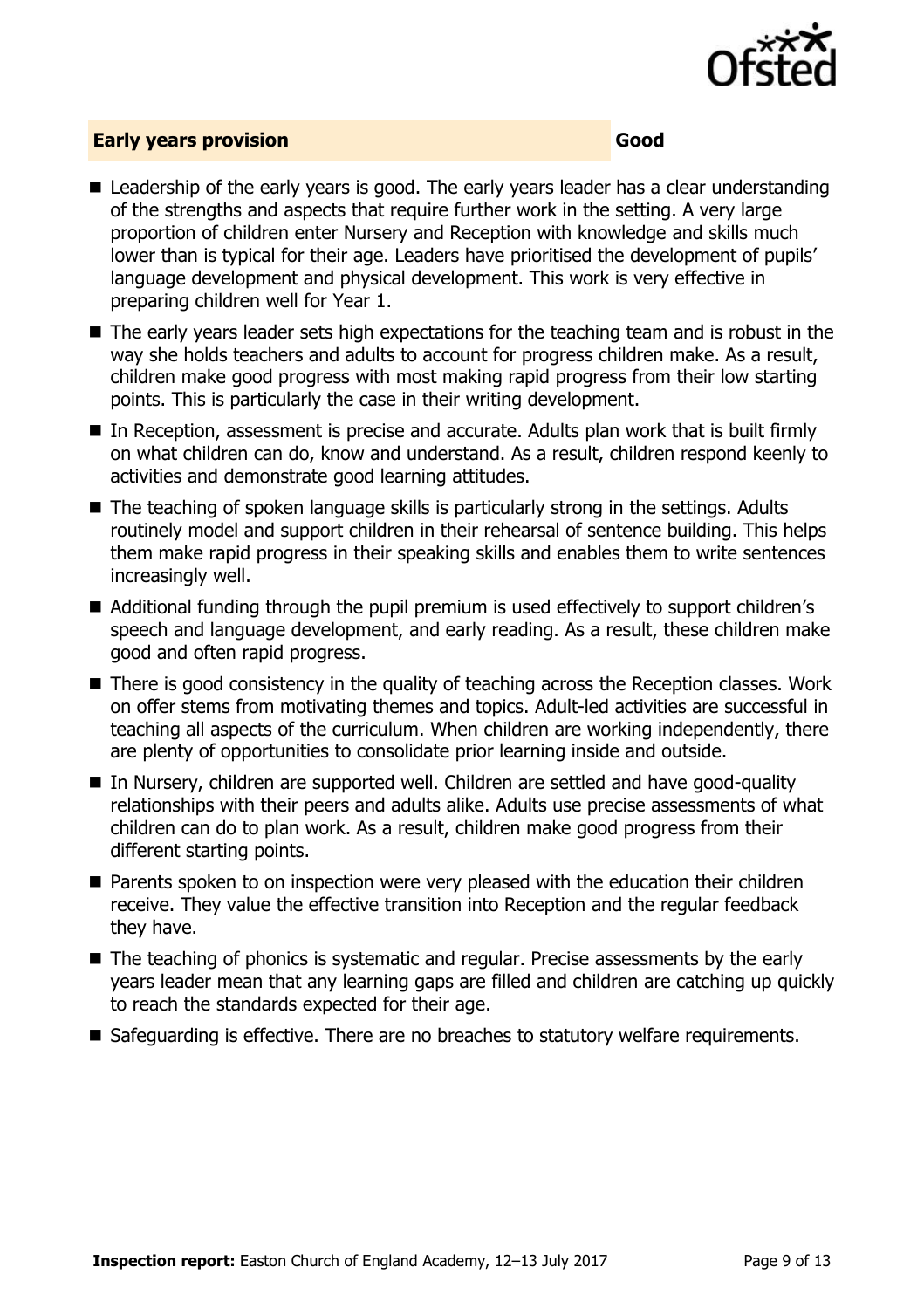

#### **Early years provision Good**

- Leadership of the early years is good. The early years leader has a clear understanding of the strengths and aspects that require further work in the setting. A very large proportion of children enter Nursery and Reception with knowledge and skills much lower than is typical for their age. Leaders have prioritised the development of pupils' language development and physical development. This work is very effective in preparing children well for Year 1.
- The early years leader sets high expectations for the teaching team and is robust in the way she holds teachers and adults to account for progress children make. As a result, children make good progress with most making rapid progress from their low starting points. This is particularly the case in their writing development.
- In Reception, assessment is precise and accurate. Adults plan work that is built firmly on what children can do, know and understand. As a result, children respond keenly to activities and demonstrate good learning attitudes.
- The teaching of spoken language skills is particularly strong in the settings. Adults routinely model and support children in their rehearsal of sentence building. This helps them make rapid progress in their speaking skills and enables them to write sentences increasingly well.
- Additional funding through the pupil premium is used effectively to support children's speech and language development, and early reading. As a result, these children make good and often rapid progress.
- There is good consistency in the quality of teaching across the Reception classes. Work on offer stems from motivating themes and topics. Adult-led activities are successful in teaching all aspects of the curriculum. When children are working independently, there are plenty of opportunities to consolidate prior learning inside and outside.
- In Nursery, children are supported well. Children are settled and have good-quality relationships with their peers and adults alike. Adults use precise assessments of what children can do to plan work. As a result, children make good progress from their different starting points.
- **Parents spoken to on inspection were very pleased with the education their children** receive. They value the effective transition into Reception and the regular feedback they have.
- The teaching of phonics is systematic and regular. Precise assessments by the early years leader mean that any learning gaps are filled and children are catching up quickly to reach the standards expected for their age.
- Safeguarding is effective. There are no breaches to statutory welfare requirements.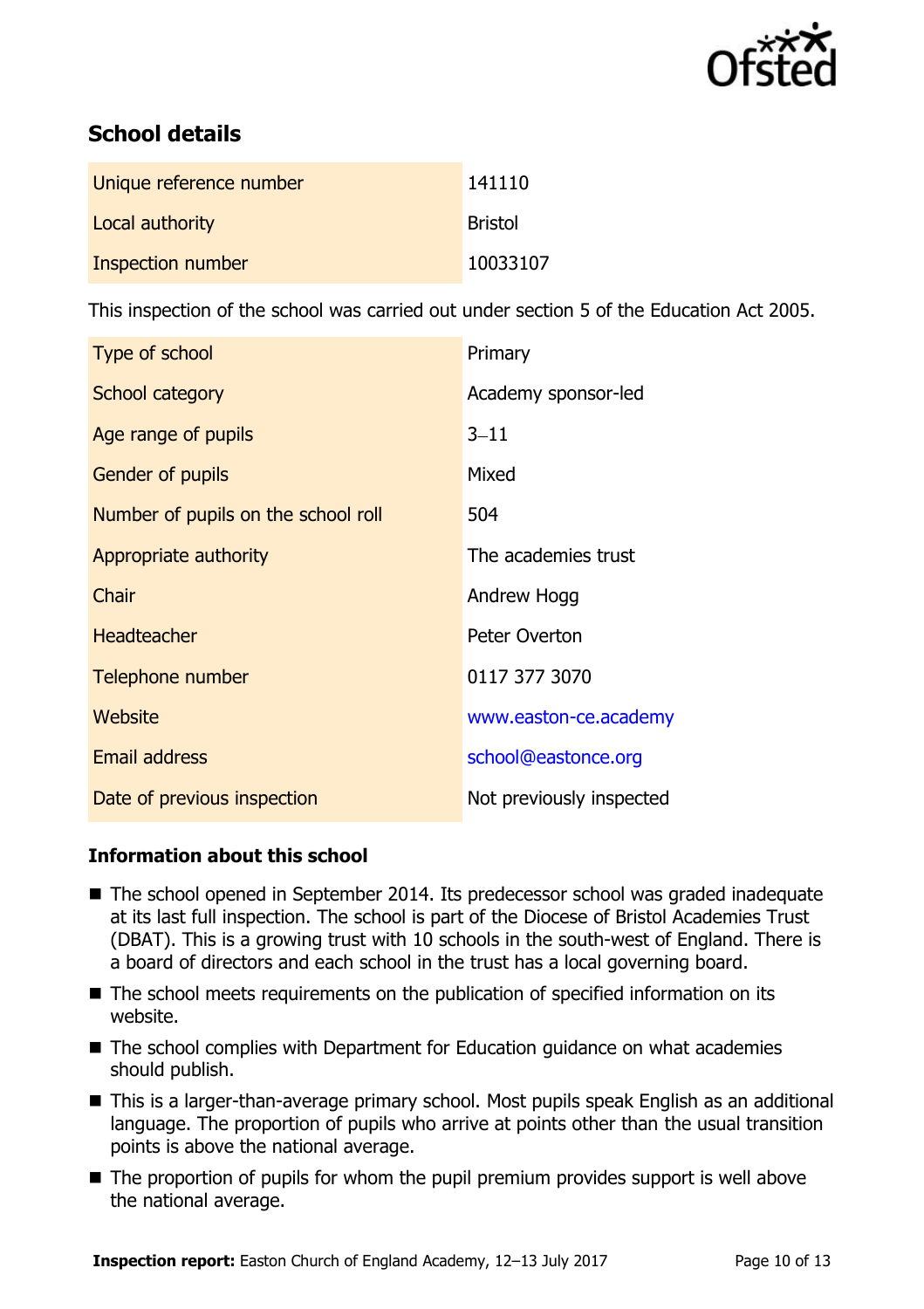

# **School details**

| Unique reference number | 141110         |
|-------------------------|----------------|
| Local authority         | <b>Bristol</b> |
| Inspection number       | 10033107       |

This inspection of the school was carried out under section 5 of the Education Act 2005.

| Type of school                      | Primary                  |
|-------------------------------------|--------------------------|
| School category                     | Academy sponsor-led      |
| Age range of pupils                 | $3 - 11$                 |
| Gender of pupils                    | Mixed                    |
| Number of pupils on the school roll | 504                      |
| Appropriate authority               | The academies trust      |
| Chair                               | Andrew Hogg              |
| <b>Headteacher</b>                  | Peter Overton            |
| Telephone number                    | 0117 377 3070            |
| Website                             | www.easton-ce.academy    |
| <b>Email address</b>                | school@eastonce.org      |
| Date of previous inspection         | Not previously inspected |

### **Information about this school**

- The school opened in September 2014. Its predecessor school was graded inadequate at its last full inspection. The school is part of the Diocese of Bristol Academies Trust (DBAT). This is a growing trust with 10 schools in the south-west of England. There is a board of directors and each school in the trust has a local governing board.
- The school meets requirements on the publication of specified information on its website.
- The school complies with Department for Education guidance on what academies should publish.
- This is a larger-than-average primary school. Most pupils speak English as an additional language. The proportion of pupils who arrive at points other than the usual transition points is above the national average.
- The proportion of pupils for whom the pupil premium provides support is well above the national average.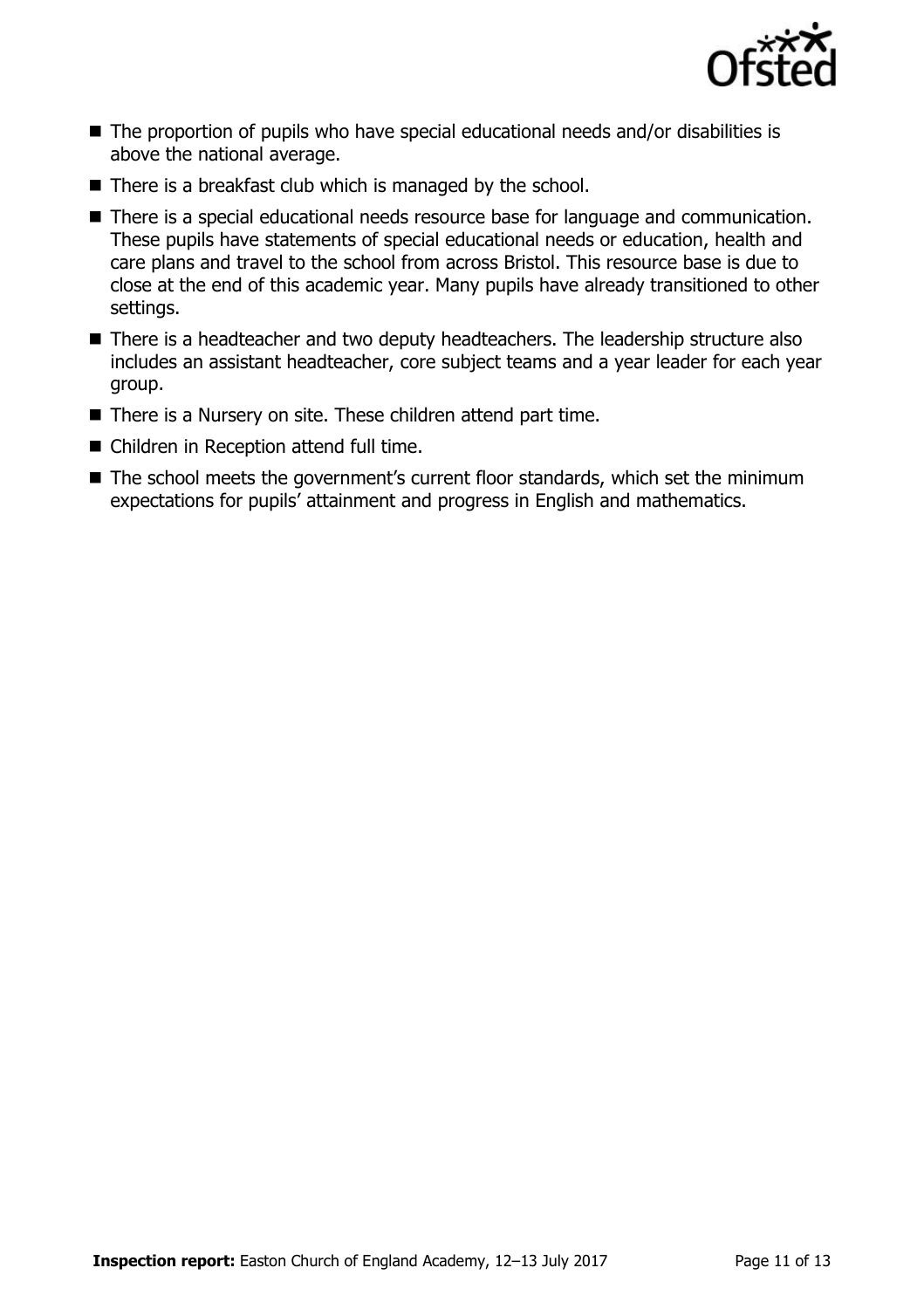

- The proportion of pupils who have special educational needs and/or disabilities is above the national average.
- There is a breakfast club which is managed by the school.
- There is a special educational needs resource base for language and communication. These pupils have statements of special educational needs or education, health and care plans and travel to the school from across Bristol. This resource base is due to close at the end of this academic year. Many pupils have already transitioned to other settings.
- There is a headteacher and two deputy headteachers. The leadership structure also includes an assistant headteacher, core subject teams and a year leader for each year group.
- There is a Nursery on site. These children attend part time.
- Children in Reception attend full time.
- The school meets the government's current floor standards, which set the minimum expectations for pupils' attainment and progress in English and mathematics.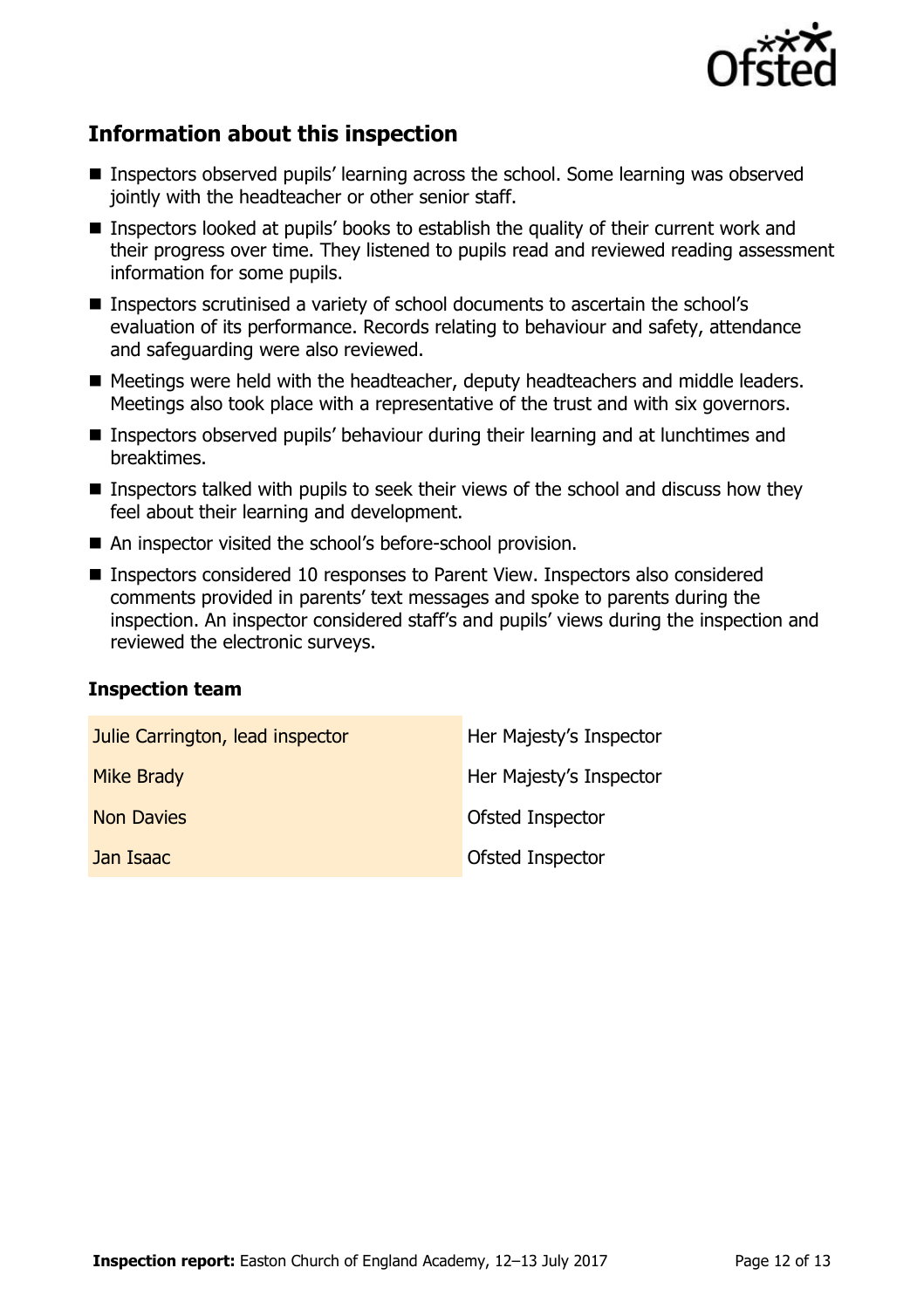

## **Information about this inspection**

- Inspectors observed pupils' learning across the school. Some learning was observed jointly with the headteacher or other senior staff.
- Inspectors looked at pupils' books to establish the quality of their current work and their progress over time. They listened to pupils read and reviewed reading assessment information for some pupils.
- Inspectors scrutinised a variety of school documents to ascertain the school's evaluation of its performance. Records relating to behaviour and safety, attendance and safeguarding were also reviewed.
- Meetings were held with the headteacher, deputy headteachers and middle leaders. Meetings also took place with a representative of the trust and with six governors.
- Inspectors observed pupils' behaviour during their learning and at lunchtimes and breaktimes.
- **Inspectors talked with pupils to seek their views of the school and discuss how they** feel about their learning and development.
- An inspector visited the school's before-school provision.
- Inspectors considered 10 responses to Parent View. Inspectors also considered comments provided in parents' text messages and spoke to parents during the inspection. An inspector considered staff's and pupils' views during the inspection and reviewed the electronic surveys.

#### **Inspection team**

| Julie Carrington, lead inspector | Her Majesty's Inspector |
|----------------------------------|-------------------------|
| Mike Brady                       | Her Majesty's Inspector |
| <b>Non Davies</b>                | Ofsted Inspector        |
| Jan Isaac                        | Ofsted Inspector        |